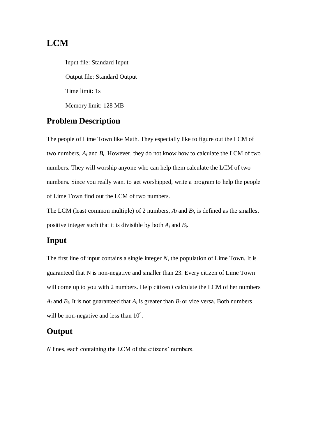### **LCM**

Input file: Standard Input Output file: Standard Output Time limit: 1s Memory limit: 128 MB

### **Problem Description**

The people of Lime Town like Math. They especially like to figure out the LCM of two numbers,  $A_i$  and  $B_i$ . However, they do not know how to calculate the LCM of two numbers. They will worship anyone who can help them calculate the LCM of two numbers. Since you really want to get worshipped, write a program to help the people of Lime Town find out the LCM of two numbers.

The LCM (least common multiple) of 2 numbers, *A<sup>i</sup>* and *Bi*, is defined as the smallest positive integer such that it is divisible by both *A<sup>i</sup>* and *Bi*.

#### **Input**

The first line of input contains a single integer *N*, the population of Lime Town. It is guaranteed that N is non-negative and smaller than 23. Every citizen of Lime Town will come up to you with 2 numbers. Help citizen *i* calculate the LCM of her numbers  $A_i$  and  $B_i$ . It is not guaranteed that  $A_i$  is greater than  $B_i$  or vice versa. Both numbers will be non-negative and less than  $10^9$ .

#### **Output**

*N* lines, each containing the LCM of the citizens' numbers.